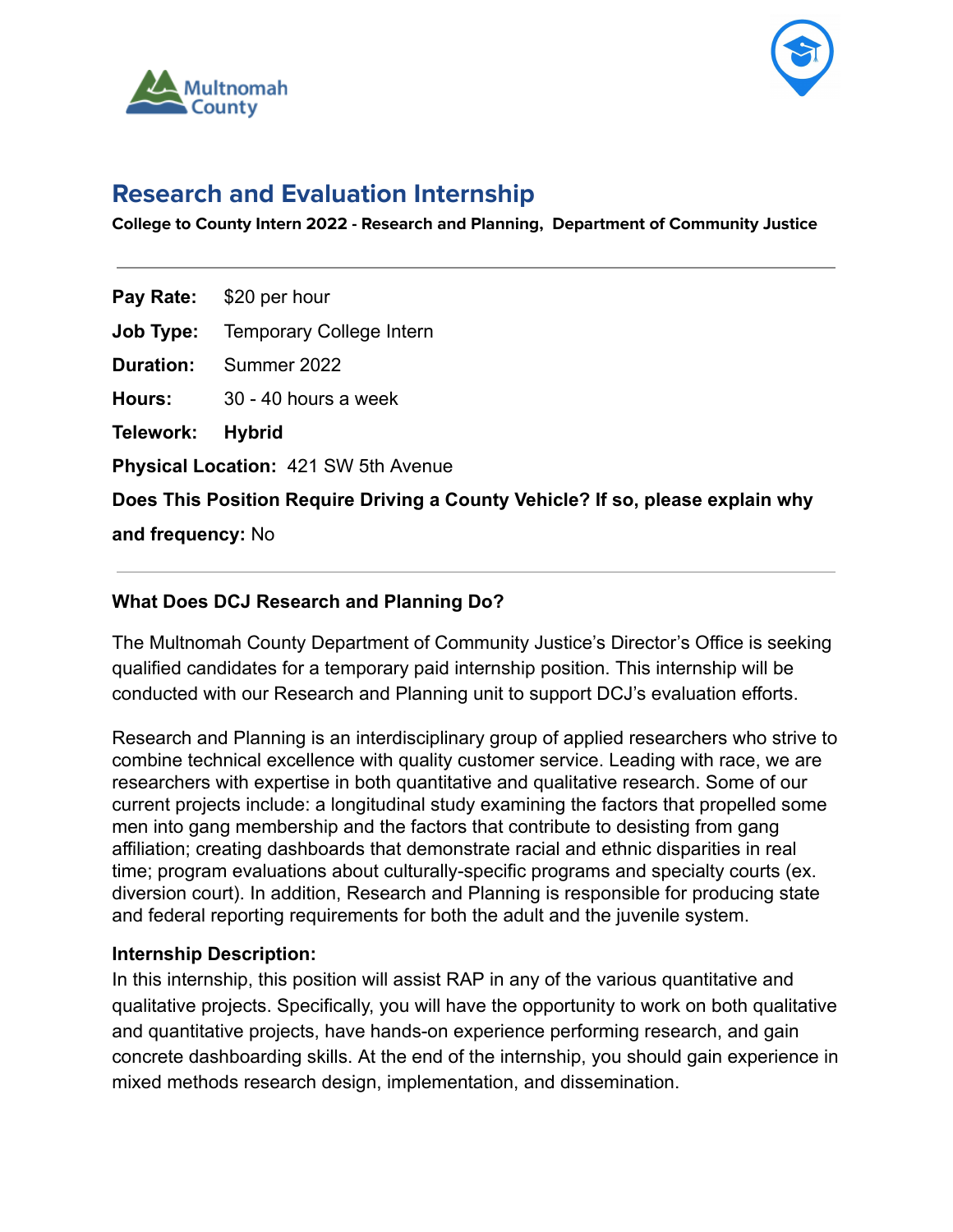



# **Research and Evaluation Internship**

**College to County Intern 2022 - Research and Planning, Department of Community Justice**

**Pay Rate:** \$20 per hour

**Job Type:** Temporary College Intern

**Duration:** Summer 2022

**Hours:** 30 - 40 hours a week

**Telework: Hybrid**

**Physical Location:** 421 SW 5th Avenue

**Does This Position Require Driving a County Vehicle? If so, please explain why**

**and frequency:** No

## **What Does DCJ Research and Planning Do?**

The Multnomah County Department of Community Justice's Director's Office is seeking qualified candidates for a temporary paid internship position. This internship will be conducted with our Research and Planning unit to support DCJ's evaluation efforts.

Research and Planning is an interdisciplinary group of applied researchers who strive to combine technical excellence with quality customer service. Leading with race, we are researchers with expertise in both quantitative and qualitative research. Some of our current projects include: a longitudinal study examining the factors that propelled some men into gang membership and the factors that contribute to desisting from gang affiliation; creating dashboards that demonstrate racial and ethnic disparities in real time; program evaluations about culturally-specific programs and specialty courts (ex. diversion court). In addition, Research and Planning is responsible for producing state and federal reporting requirements for both the adult and the juvenile system.

## **Internship Description:**

In this internship, this position will assist RAP in any of the various quantitative and qualitative projects. Specifically, you will have the opportunity to work on both qualitative and quantitative projects, have hands-on experience performing research, and gain concrete dashboarding skills. At the end of the internship, you should gain experience in mixed methods research design, implementation, and dissemination.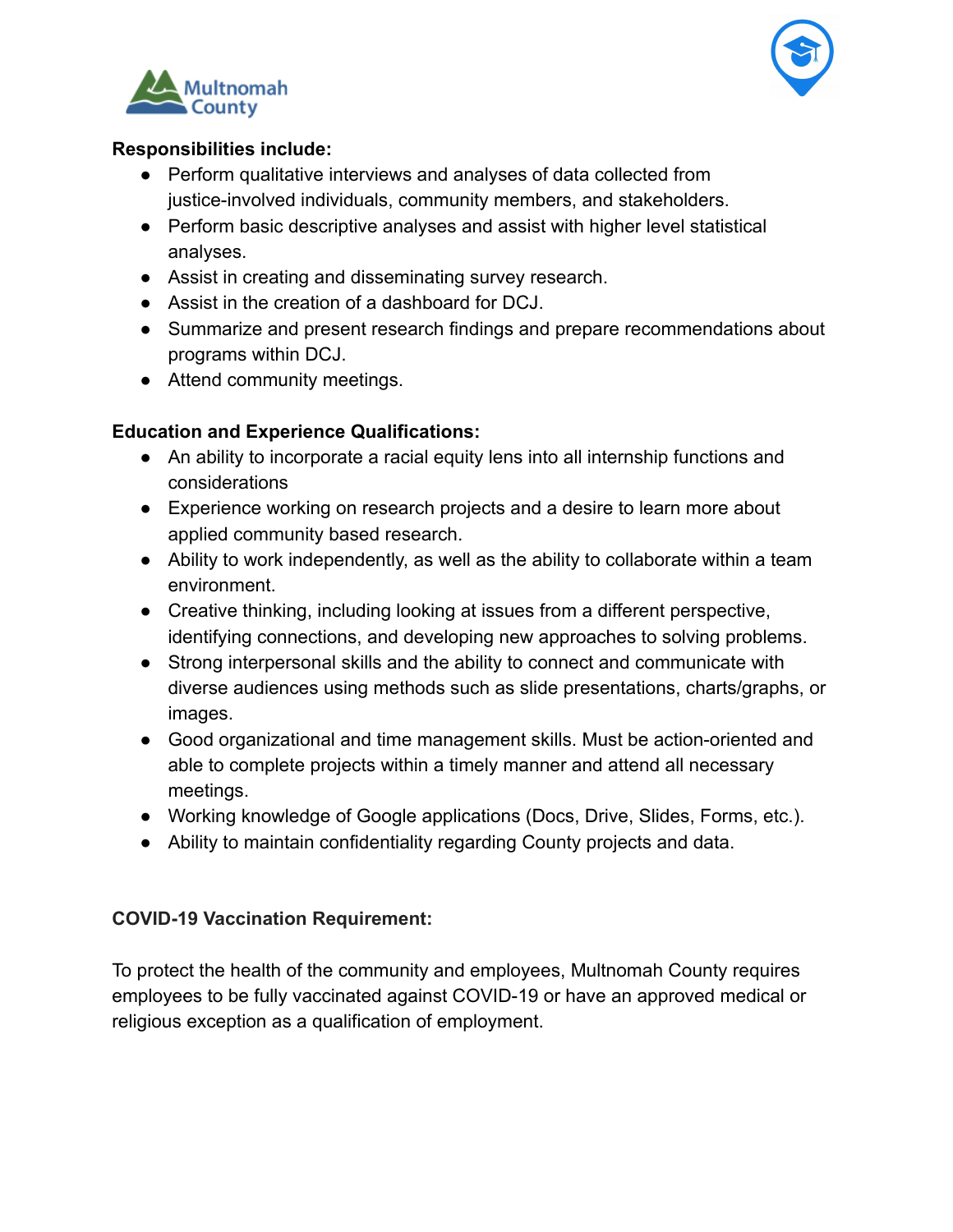



# **Responsibilities include:**

- Perform qualitative interviews and analyses of data collected from justice-involved individuals, community members, and stakeholders.
- Perform basic descriptive analyses and assist with higher level statistical analyses.
- Assist in creating and disseminating survey research.
- Assist in the creation of a dashboard for DCJ.
- Summarize and present research findings and prepare recommendations about programs within DCJ.
- Attend community meetings.

# **Education and Experience Qualifications:**

- An ability to incorporate a racial equity lens into all internship functions and considerations
- Experience working on research projects and a desire to learn more about applied community based research.
- Ability to work independently, as well as the ability to collaborate within a team environment.
- Creative thinking, including looking at issues from a different perspective, identifying connections, and developing new approaches to solving problems.
- Strong interpersonal skills and the ability to connect and communicate with diverse audiences using methods such as slide presentations, charts/graphs, or images.
- Good organizational and time management skills. Must be action-oriented and able to complete projects within a timely manner and attend all necessary meetings.
- Working knowledge of Google applications (Docs, Drive, Slides, Forms, etc.).
- Ability to maintain confidentiality regarding County projects and data.

# **COVID-19 Vaccination Requirement:**

To protect the health of the community and employees, Multnomah County requires employees to be fully vaccinated against COVID-19 or have an approved medical or religious exception as a qualification of employment.